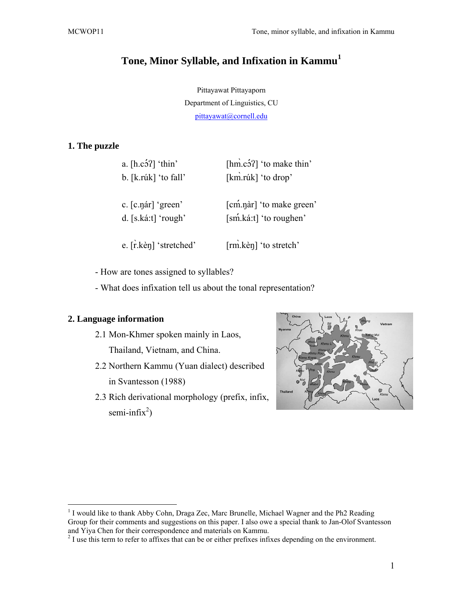# **Tone, Minor Syllable, and Infixation in Kammu<sup>1</sup>**

Pittayawat Pittayaporn Department of Linguistics, CU pittayawat@cornell.edu

# **1. The puzzle**

| a. $[h.c\'3']$ 'thin'  | [ $h$ m c <sup>5</sup> ?] 'to make thin' |
|------------------------|------------------------------------------|
| b. [k.rúk] 'to fall'   | [km\rúk] 'to drop'                       |
|                        |                                          |
| c. [c.nar] 'green'     | [cm <sup>n</sup> .nar] 'to make green'   |
| d. $[s.ká:t]'$ 'rough' | [sm <sup>'</sup> .ká:t] 'to roughen'     |
|                        |                                          |
| e. [r.ke\, etched'     | [rm] kèn] 'to stretch'                   |
|                        |                                          |

- How are tones assigned to syllables?

- What does infixation tell us about the tonal representation?

# **2. Language information**

 $\overline{a}$ 

- 2.1 Mon-Khmer spoken mainly in Laos, Thailand, Vietnam, and China.
- 2.2 Northern Kammu (Yuan dialect) described in Svantesson (1988)
- 2.3 Rich derivational morphology (prefix, infix, semi-infix<sup>2</sup>)



<sup>&</sup>lt;sup>1</sup> I would like to thank Abby Cohn, Draga Zec, Marc Brunelle, Michael Wagner and the Ph2 Reading Group for their comments and suggestions on this paper. I also owe a special thank to Jan-Olof Svantesson and Yiya Chen for their correspondence and materials on Kammu.

 $2<sup>2</sup>$  I use this term to refer to affixes that can be or either prefixes infixes depending on the environment.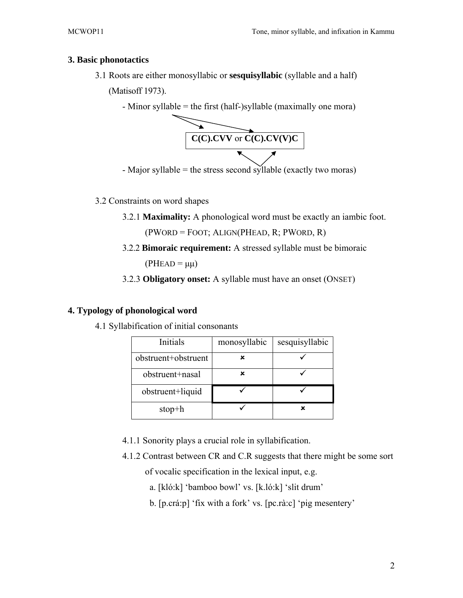#### **3. Basic phonotactics**

3.1 Roots are either monosyllabic or **sesquisyllabic** (syllable and a half)

(Matisoff 1973).





- Major syllable = the stress second syllable (exactly two moras)

## 3.2 Constraints on word shapes

3.2.1 **Maximality:** A phonological word must be exactly an iambic foot.

(PWORD = FOOT; ALIGN(PHEAD, R; PWORD, R)

3.2.2 **Bimoraic requirement:** A stressed syllable must be bimoraic

 $(PHEAD = \mu\mu)$ 

3.2.3 **Obligatory onset:** A syllable must have an onset (ONSET)

## **4. Typology of phonological word**

4.1 Syllabification of initial consonants

| Initials            | monosyllabic | sesquisyllabic |
|---------------------|--------------|----------------|
| obstruent+obstruent | x            |                |
| obstruent+nasal     | x            |                |
| obstruent+liquid    |              |                |
| $stop + h$          |              |                |

- 4.1.1 Sonority plays a crucial role in syllabification.
- 4.1.2 Contrast between CR and C.R suggests that there might be some sort of vocalic specification in the lexical input, e.g.
	- a. [kló:k] 'bamboo bowl' vs. [k.ló:k] 'slit drum'
	- b. [p.crá:p] 'fix with a fork' vs. [pc.rà:c] 'pig mesentery'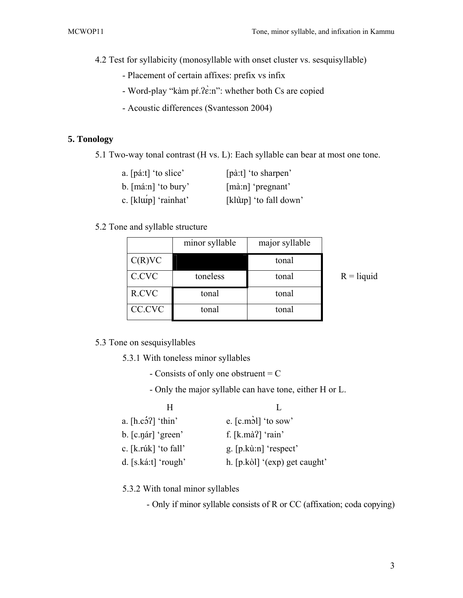4.2 Test for syllabicity (monosyllable with onset cluster vs. sesquisyllable)

- Placement of certain affixes: prefix vs infix
- Word-play "kàm pŕ.ʔɛ̀:n": whether both Cs are copied
- Acoustic differences (Svantesson 2004)

#### **5. Tonology**

5.1 Two-way tonal contrast (H vs. L): Each syllable can bear at most one tone.

| a. [páːt] 'to slice'         | [pà:t] 'to sharpen'          |
|------------------------------|------------------------------|
| b. $[\text{má:n}]$ 'to bury' | $[\text{m\`a:n}]$ 'pregnant' |
| c. [klup] 'rainhat'          | [klùtp] 'to fall down'       |

#### 5.2 Tone and syllable structure

|        | minor syllable | major syllable |
|--------|----------------|----------------|
| C(R)VC |                | tonal          |
| C.CVC  | toneless       | tonal          |
| R.CVC  | tonal          | tonal          |
| CC.CVC | tonal          | tonal          |

 $R =$ liquid

5.3 Tone on sesquisyllables

5.3.1 With toneless minor syllables

- Consists of only one obstruent = C
- Only the major syllable can have tone, either H or L.

| н                      |                               |
|------------------------|-------------------------------|
| a. $[h.c2] 'thin'$     | e. $[c.mð]$ 'to sow'          |
| $b.$ [c.nar] 'green'   | f. $[k.m\`a']$ 'rain'         |
| c. $[k.rúk]$ 'to fall' | g. $[p.k\`u:n]$ 'respect'     |
| d. $[s.ka:t]$ 'rough'  | h. [p.kòl] '(exp) get caught' |

5.3.2 With tonal minor syllables

- Only if minor syllable consists of R or CC (affixation; coda copying)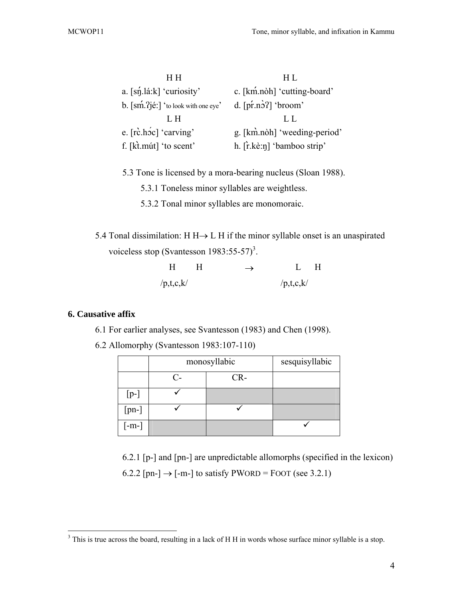| HН                                                             | H L                          |
|----------------------------------------------------------------|------------------------------|
| a. $[s\eta_1]$ lá:k] 'curiosity'                               | c. [km.noh] 'cutting-board'  |
| b. $\lceil \sin 2i \right  \times \text{to look with one eye}$ | $d.$ [pr.no?] 'broom'        |
| L H                                                            | LL.                          |
| e. [rc.hoc] 'carving'                                          |                              |
|                                                                | g. [km.noh] 'weeding-period' |

- 5.3 Tone is licensed by a mora-bearing nucleus (Sloan 1988).
	- 5.3.1 Toneless minor syllables are weightless.
	- 5.3.2 Tonal minor syllables are monomoraic.
- 5.4 Tonal dissimilation: H H→ L H if the minor syllable onset is an unaspirated voiceless stop (Svantesson  $1983:55-57$ )<sup>3</sup>.

|           | H | $\rightarrow$ | H         |  |
|-----------|---|---------------|-----------|--|
| /p,t,c,k/ |   |               | /p,t,c,k/ |  |

## **6. Causative affix**

- 6.1 For earlier analyses, see Svantesson (1983) and Chen (1998).
- 6.2 Allomorphy (Svantesson 1983:107-110)

|         | monosyllabic |     | sesquisyllabic |
|---------|--------------|-----|----------------|
|         | C-           | CR- |                |
| $[p-]$  |              |     |                |
| $[pn-]$ |              |     |                |
| $[-m-]$ |              |     |                |

 6.2.1 [p-] and [pn-] are unpredictable allomorphs (specified in the lexicon) 6.2.2 [pn-]  $\rightarrow$  [-m-] to satisfy PWORD = FOOT (see 3.2.1)

<sup>&</sup>lt;sup>3</sup> This is true across the board, resulting in a lack of H H in words whose surface minor syllable is a stop.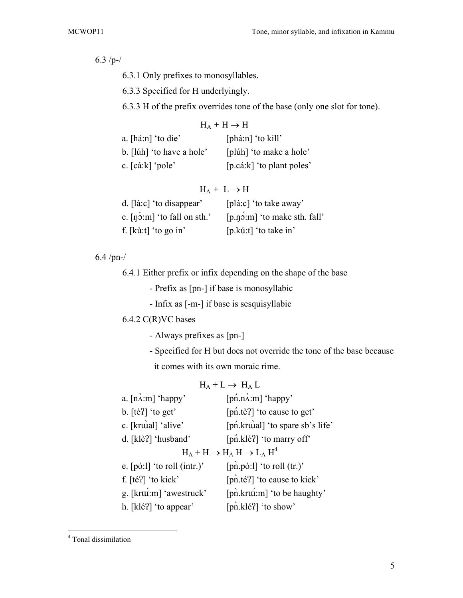6.3 /p-/

- 6.3.1 Only prefixes to monosyllables.
- 6.3.3 Specified for H underlyingly.
- 6.3.3 H of the prefix overrides tone of the base (only one slot for tone).

| $H_A + H \rightarrow H$      |                             |  |
|------------------------------|-----------------------------|--|
| a. $[h\acute{a}:n]'$ to die' | $[phá:n]'$ to kill'         |  |
| b. [lúh] 'to have a hole'    | [plúh] 'to make a hole'     |  |
| c. [cáːk] 'pole'             | $[p.cá:k]$ 'to plant poles' |  |

## $H_A + L \rightarrow H$

| d. $\lceil$ là:c $\rceil$ 'to disappear' | [plá:c] 'to take away'         |
|------------------------------------------|--------------------------------|
| e. $[n\dot{o}$ : m 'to fall on sth.'     | $[p.n2,m]$ 'to make sth. fall' |
| f. $[k\hat{u}:t]$ 'to go in'             | [p.kú:t] 'to take in'          |

6.4 /pn-/

6.4.1 Either prefix or infix depending on the shape of the base

- Prefix as [pn-] if base is monosyllabic

- Infix as [-m-] if base is sesquisyllabic

# 6.4.2 C(R)VC bases

- Always prefixes as [pn-]
- Specified for H but does not override the tone of the base because it comes with its own moraic rime.

# $H_A + L \rightarrow H_A L$

| $a. \left[ n\right.\lambda:m \right]$ 'happy' | $[{\rm pn}$ .n $\lambda$ :m] 'happy'            |
|-----------------------------------------------|-------------------------------------------------|
| b. $[t\hat{e}$ ? $\hat{e}$ 'to get'           | [pn <sup>tere</sup> ] 'to cause to get'         |
| c. [kruial] 'alive'                           | [pn.kruial] 'to spare sb's life'                |
| d. [klè?] 'husband'                           | [pn klè?] 'to marry off'                        |
|                                               | $H_A + H \rightarrow H_A H \rightarrow L_A H^4$ |
| e. $[p\ddot{o}$ : $]$ 'to roll (intr.)'       | $[pn.p6:1]'$ to roll $(tr.)'$                   |
| f. [téʔ] 'to kick'                            | [pn.té?] 'to cause to kick'                     |
| g. [krui:m] 'awestruck'                       | [pn\, krui: m] 'to be haughty'                  |
| h. [klé?] 'to appear'                         | [pn.klé?] 'to show'                             |

 4 Tonal dissimilation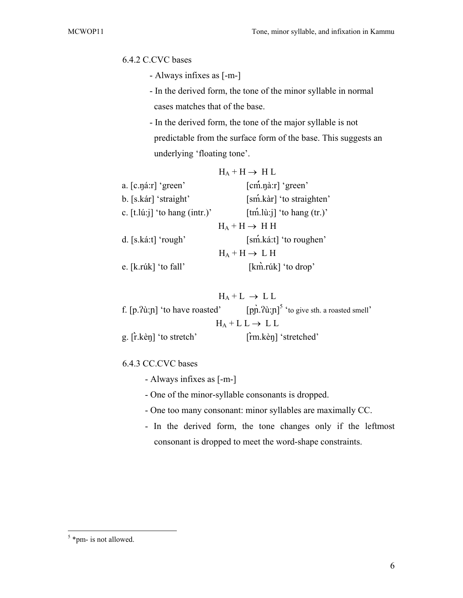# 6.4.2 C.CVC bases

- Always infixes as [-m-]
- In the derived form, the tone of the minor syllable in normal cases matches that of the base.
- In the derived form, the tone of the major syllable is not predictable from the surface form of the base. This suggests an underlying 'floating tone'.

|                                             | $H_A + H \rightarrow H L$                    |
|---------------------------------------------|----------------------------------------------|
| a. [c.náːr] 'green'                         | $[cm.n\`a:r]'$ green'                        |
| b. [s.kár] 'straight'                       | [sm <sup>'</sup> .kàr] 'to straighten'       |
| c. $[t.l\hat{u}:\hat{j}]$ 'to hang (intr.)' | $[\text{tm.}]$ iti if to hang $(\text{tr.})$ |
|                                             | $H_A + H \rightarrow H H$                    |
| d. $[s.ká:t]'$ rough'                       | [sm <sup>{</sup> .katt] 'to roughen'         |
|                                             | $H_A + H \rightarrow L H$                    |
| e. [k.rúk] 'to fall'                        | [km̃.rúk] 'to drop'                          |

| $H_A + L \rightarrow LL$                                                                                         |                              |  |  |
|------------------------------------------------------------------------------------------------------------------|------------------------------|--|--|
| f. $[p.2\hat{u}:\mathbf{p}]$ 'to have roasted' $[p\hat{n}.2\hat{u}:\mathbf{p}]^5$ 'to give sth. a roasted smell' |                              |  |  |
| $H_A + L L \rightarrow LL$                                                                                       |                              |  |  |
| g. [r.ke\, eq. [r.ke\, eq. [cf] \]                                                                               | $\lceil$ rm.kèn] 'stretched' |  |  |

#### 6.4.3 CC.CVC bases

- Always infixes as [-m-]
- One of the minor-syllable consonants is dropped.
- One too many consonant: minor syllables are maximally CC.
- In the derived form, the tone changes only if the leftmost consonant is dropped to meet the word-shape constraints.

 $5$ \*pm- is not allowed.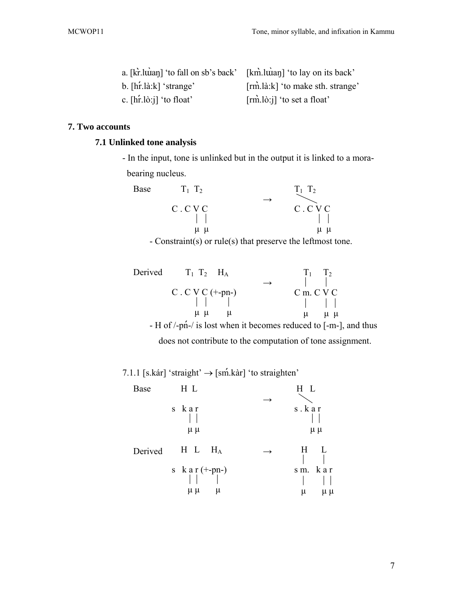| a. [kr]. luian] 'to fall on sb's back' [km]. luian] 'to lay on its back' |                                   |
|--------------------------------------------------------------------------|-----------------------------------|
| b. $[\hbar \dot{\text{r}} \cdot \text{.} \text{ia}: \text{k}]$ 'strange' | [rm].là:k] 'to make sth. strange' |
| c. $[\text{hr}.\text{lo}:]$ 'to float'                                   | $[rm.l\delta:j]$ 'to set a float' |

# **7. Two accounts**

# **7.1 Unlinked tone analysis**

- In the input, tone is unlinked but in the output it is linked to a morabearing nucleus.

| Base | $T_1$ $T_2$ | $T_1$ $T_2$ |
|------|-------------|-------------|
|      |             |             |
|      | C.CVC       | C.CVC       |
|      |             |             |
|      | $\mu$ $\mu$ | $\mu$ $\mu$ |
|      | .           | $\sim$      |

- Constraint(s) or rule(s) that preserve the leftmost tone.

| Derived $T_1$ $T_2$ $H_A$ | $T_1$ $T_2$                                                                                |
|---------------------------|--------------------------------------------------------------------------------------------|
|                           |                                                                                            |
| C. C V C $(+\text{-}pn-)$ | $C$ m. $C$ V $C$                                                                           |
| $\Box$                    | $\pm$ $\pm$                                                                                |
| $\mu \mu \mu$             | u u<br>$\mu$                                                                               |
|                           | - H of $\frac{1}{p}$ - $\frac{1}{p}$ is lost when it becomes reduced to $[-m-]$ , and thus |

does not contribute to the computation of tone assignment.

7.1.1 [s.kár] 'straight'  $\rightarrow$  [sm<sup>'</sup>.kàr] 'to straighten'

| Base    | H L                                   | H L                |
|---------|---------------------------------------|--------------------|
|         | s kar<br>$\mu \mu$                    | s.kar<br>$\mu \mu$ |
| Derived | $H$ L<br>$H_A$                        | Η<br>L             |
|         | s kar $(+$ -pn- $)$<br>$\mu \mu$<br>μ | sm. kar<br>μ<br>μμ |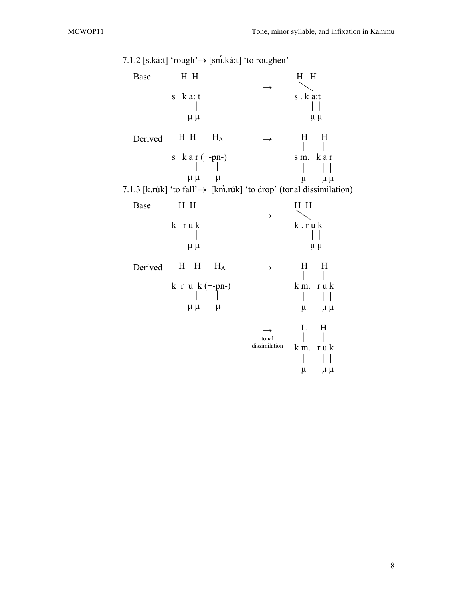|         | 7.1.2 [s.ká:t] 'rough' $\rightarrow$ [sm <sup>'</sup> .ká:t] 'to roughen'                                                             |                                         |                                                       |  |
|---------|---------------------------------------------------------------------------------------------------------------------------------------|-----------------------------------------|-------------------------------------------------------|--|
| Base    | H H                                                                                                                                   |                                         | H H                                                   |  |
|         | $k a$ : t<br>${\bf S}$<br>$\mu \mu$                                                                                                   |                                         | s.ka:t<br>$\mu \mu$                                   |  |
| Derived | H H<br>$H_A$                                                                                                                          |                                         | H<br>H                                                |  |
|         | $k a r (+-pn-)$<br>${\bf S}$<br>$\mu \mu$<br>$\mu$<br>7.1.3 [k.rúk] 'to fall' $\rightarrow$ [km̄.rúk] 'to drop' (tonal dissimilation) |                                         | k a r<br>s m.<br>$\mu$<br>$\mu \mu$                   |  |
| Base    | H H                                                                                                                                   |                                         | H H                                                   |  |
|         | k ruk<br>$\mu \mu$                                                                                                                    | $\rightarrow$                           | $k$ . $r$ u $k$<br>$\mu \mu$                          |  |
| Derived | $H_{\parallel}$<br>H<br>$H_A$                                                                                                         |                                         | H<br>H                                                |  |
|         | $k$ r u $k$ (+-pn-)<br>$\mu \mu$<br>$\mu$                                                                                             |                                         | k m.<br>r u k<br>$\mu$<br>$\mu \mu$                   |  |
|         |                                                                                                                                       | $\rightarrow$<br>tonal<br>dissimilation | $H_{\rm}$<br>L<br>k m.<br>r u k<br>$\mu$<br>$\mu \mu$ |  |

8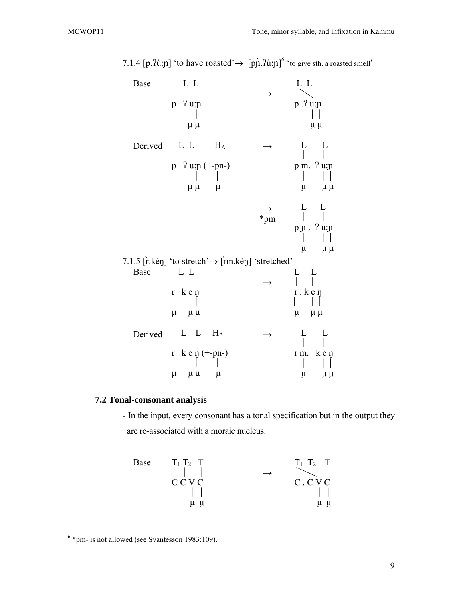| Base                                                        | L L                                                            |                |               | L L                                                                   |
|-------------------------------------------------------------|----------------------------------------------------------------|----------------|---------------|-----------------------------------------------------------------------|
|                                                             | $2u$ : $n$<br>p<br>$\mu \mu$                                   |                |               | p .? u:n<br>$\mu \mu$                                                 |
| Derived                                                     | L L<br>$2 u : p (+-pn-)$<br>$\mathbf{p}$<br>$\mu$ $\mu$        | $H_A$<br>$\mu$ | $\rightarrow$ | L<br>L<br>p m. ? u:n<br>$\mu$<br>$\mu$ $\mu$                          |
|                                                             |                                                                |                | *pm           | L<br>L<br>$p \, \texttt{n}$ . ? u: $\texttt{n}$<br>$\mu$<br>$\mu \mu$ |
| 7.1.5 [rket] 'to stretch' $\rightarrow$ [rmket] 'stretched' |                                                                |                |               |                                                                       |
| Base                                                        | L L<br>k e n<br>$r_{\rm}$<br>$\mu$<br>$\mu \mu$                |                |               | L<br>$\mathbf{L}$<br>$r \cdot k \cdot n$<br>$\mu$<br>$\mu \mu$        |
| Derived                                                     | L L<br>$k e \eta (+-pn-)$<br>$\mathbf r$<br>$\mu$<br>$\mu \mu$ | $H_A$<br>$\mu$ | $\rightarrow$ | L<br>L<br>k e ŋ<br>r m.<br>$\mu$<br>$\mu \mu$                         |

7.1.4 [p. $\lambda$ ù:n] 'to have roasted'  $\rightarrow$  [pn  $\lambda$ ù:n]<sup>6</sup> 'to give sth. a roasted smell'

# **7.2 Tonal-consonant analysis**

- In the input, every consonant has a tonal specification but in the output they are re-associated with a moraic nucleus.

Base

\n
$$
\begin{array}{ccc}\nT_1 T_2 & T \\
| & \vert & \vert \\
C \ C \ C \ C \ C \\
| & \vert & \vert \\
\mu \ \mu\n\end{array}\n\quad \rightarrow\n\quad\n\begin{array}{ccc}\nT_1 T_2 & T \\
\hline\nC \ C \ C \ C \\
| & \vert & \vert \\
\mu \ \mu\n\end{array}
$$

 6 \*pm- is not allowed (see Svantesson 1983:109).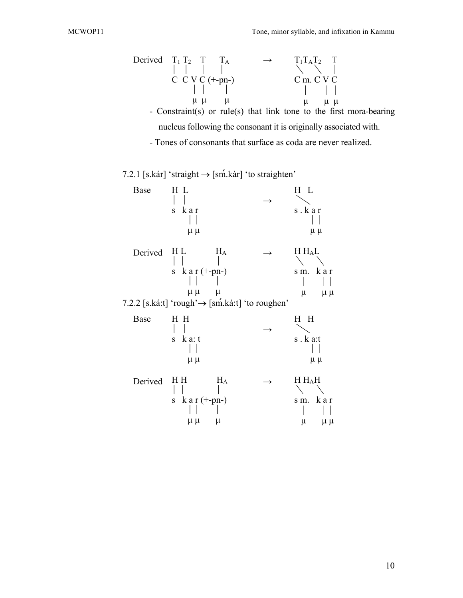Derived  $T_1 T_2 T T_3 T_4$ g g g g  $C$  C V C ( $+$ -pn-) g g g  $\mu \mu$   $\mu$  $\rightarrow$  T<sub>1</sub>T<sub>A</sub>T<sub>2</sub> T  $\diagdown$   $\diagdown$ C m. C V C  $\mathbb{R}$  g g  $\mathbb{R}$  $\mu$   $\mu$   $\mu$ - Constraint(s) or rule(s) that link tone to the first mora-bearing

nucleus following the consonant it is originally associated with.

- Tones of consonants that surface as coda are never realized.

7.2.1 [s.kár] 'straight  $\rightarrow$  [sm<sup>2</sup>.kar] 'to straighten'

| Base    | H L<br>kar<br>S<br>$\mu \mu$                                                                                                            | $\rightarrow$ | H L<br>s.kar<br>$\mu \mu$                       |
|---------|-----------------------------------------------------------------------------------------------------------------------------------------|---------------|-------------------------------------------------|
| Derived | H L<br>$H_A$<br>$k a r (+-pn-)$<br>S<br>$\mu \mu$<br>$\mu$<br>7.2.2 [s.ká:t] 'rough' $\rightarrow$ [sm <sup>'</sup> .ká:t] 'to roughen' |               | H H <sub>A</sub> L<br>sm. kar<br>μ<br>$\mu \mu$ |
| Base    | H H<br>$k a$ : t<br>$\mathbf S$<br>$\mu \mu$                                                                                            | $\rightarrow$ | H H<br>$s \cdot k$ a:t<br>$\mu \mu$             |
| Derived | H H<br>$H_A$<br>$k a r (+-pn-)$<br>S<br>$\mu \mu$<br>$\mu$                                                                              |               | H H <sub>A</sub> H<br>sm. kar<br>$\mu \mu$<br>μ |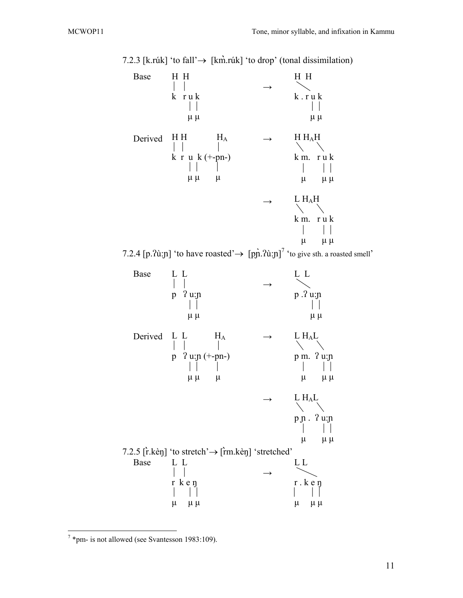Base Derived H H  $\Box$ k r u k  $\perp$  $\mu \mu$  $H H$   $H_A$  $\vert \ \vert$ k r u k (+-pn-)  $\vert \ \vert$  $\mu \mu$   $\mu$  $\rightarrow$  $\rightarrow$  $\rightarrow$ H H  $\diagdown$ k . r u k  $\perp$  $\mu$   $\mu$ H HAH  $\diagdown$ k m. r u k  $\vert \vert$  $\mu$   $\mu \mu$ L HAH  $\setminus$ k m. r u k  $\begin{bmatrix} 1 & 1 \\ 1 & 1 \end{bmatrix}$  $\mu$   $\mu \mu$ 7.2.4 [p. $\lambda$ ù:n] 'to have roasted'  $\rightarrow$  [pn  $\lambda$ ù:n]<sup>7</sup> 'to give sth. a roasted smell' Base Derived L L H<sub>A</sub> L L  $\vert \ \ \vert$ p ʔ u:ɲ  $\Box$  $\mu \mu$  $\vert \ \vert$ p ʔ u:ɲ (+-pn-) g g g  $\mu \mu$   $\mu$  $\rightarrow$  $\rightarrow$  $\rightarrow$ L L  $\diagdown$ p .ʔ u:ɲ  $\vert \ \vert$  $\mu \mu$  $L H_A L$  $\diagdown$ p m. ʔ u:ɲ  $\vert \ \vert$  $\mu$   $\mu \mu$  $L H_A L$  $\setminus$ p ɲ . ʔ u:ɲ  $\perp$  $\mu$   $\mu \mu$  7.2.5 [r̀.kèŋ] 'to stretch'→ [r̀m.kèŋ] 'stretched' Base L L  $\vert \ \vert$ r k e ŋ  $\vert \cdot \vert$  $\mu$   $\mu$   $\mu$  $\rightarrow$ L L  $\diagdown$ r . k e ŋ  $\vert \ \vert$  $\mu$   $\mu$   $\mu$ 

7.2.3 [k.rúk] 'to fall'→ [km̀.rúk] 'to drop' (tonal dissimilation)

 $\overline{a}$ 

 $7$  \*pm- is not allowed (see Svantesson 1983:109).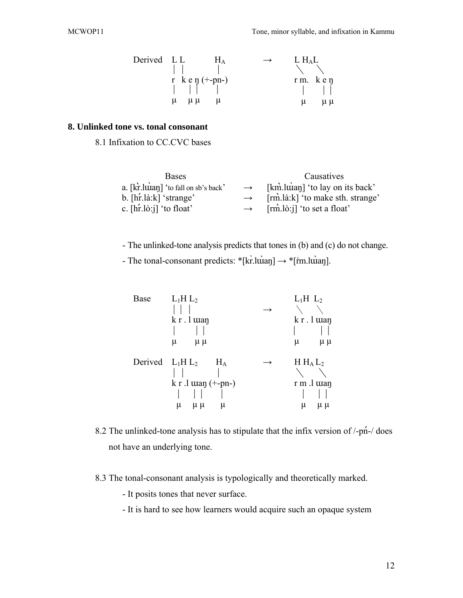| Derived LL |                        | $H_A$ | $\rightarrow$ | L H <sub>A</sub> L |                           |
|------------|------------------------|-------|---------------|--------------------|---------------------------|
|            | $\mathbb{R}$           |       |               |                    |                           |
|            | r $k \in \eta$ (+-pn-) |       |               |                    | $rm.$ ken                 |
|            |                        |       |               |                    | $\mathbf{1}$ $\mathbf{1}$ |
|            | $\mu \mu$<br>u         | $\mu$ |               | u                  | $\mu \mu$                 |

#### **8. Unlinked tone vs. tonal consonant**

8.1 Infixation to CC.CVC bases

| <b>Bases</b>                                            |               | Causatives                                       |
|---------------------------------------------------------|---------------|--------------------------------------------------|
| a. [kr]. luian] 'to fall on sb's back'                  | $\rightarrow$ | [km]. $\lim_{n \to \infty}$ (to lay on its back) |
| b. $[\text{h} \cdot \text{h} \cdot \text{k}]$ 'strange' | $\rightarrow$ | [rm].là:k] 'to make sth. strange'                |
| c. $[\hat{hr} \cdot \hat{a} \cdot \hat{j}]$ 'to float'  | $\rightarrow$ | $[rm.l\delta:j]$ 'to set a float'                |

- The unlinked-tone analysis predicts that tones in (b) and (c) do not change.

- The tonal-consonant predicts:  $*[kr].\text{tuan}] \rightarrow *[fm].\text{tuan}].$ 

| Base               | $L_1H L_2$                                 | $L_1H$ $L_2$     |
|--------------------|--------------------------------------------|------------------|
|                    |                                            |                  |
|                    | k r . l wan                                | $k r$ . l $u$ an |
|                    |                                            |                  |
|                    | $\mu \mu$<br>μ                             | $\mu \mu$<br>μ   |
| Derived $L_1H L_2$ | $H_A$                                      | $H H_A L_2$      |
|                    |                                            |                  |
|                    | $k \, r \, l \, \text{man} (+\text{-}pn-)$ | r m .l wan       |
|                    |                                            |                  |
|                    | μ<br>μμ<br>μ                               | μ<br>$\mu \mu$   |

- 8.2 The unlinked-tone analysis has to stipulate that the infix version of  $\frac{1}{p}n$ - $\frac{1}{q}$  does not have an underlying tone.
- 8.3 The tonal-consonant analysis is typologically and theoretically marked.
	- It posits tones that never surface.
	- It is hard to see how learners would acquire such an opaque system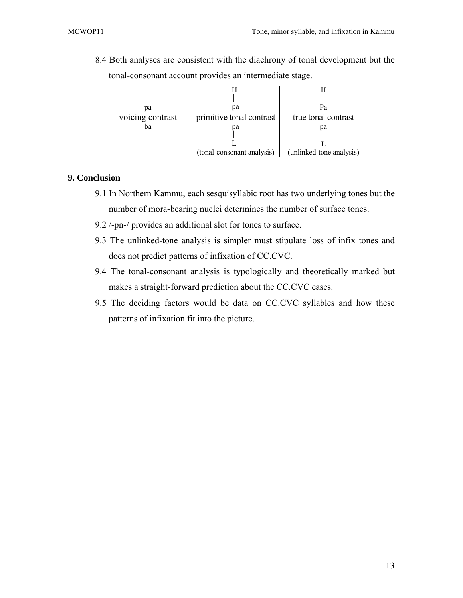8.4 Both analyses are consistent with the diachrony of tonal development but the tonal-consonant account provides an intermediate stage.



## **9. Conclusion**

- 9.1 In Northern Kammu, each sesquisyllabic root has two underlying tones but the number of mora-bearing nuclei determines the number of surface tones.
- 9.2 /-pn-/ provides an additional slot for tones to surface.
- 9.3 The unlinked-tone analysis is simpler must stipulate loss of infix tones and does not predict patterns of infixation of CC.CVC.
- 9.4 The tonal-consonant analysis is typologically and theoretically marked but makes a straight-forward prediction about the CC.CVC cases.
- 9.5 The deciding factors would be data on CC.CVC syllables and how these patterns of infixation fit into the picture.